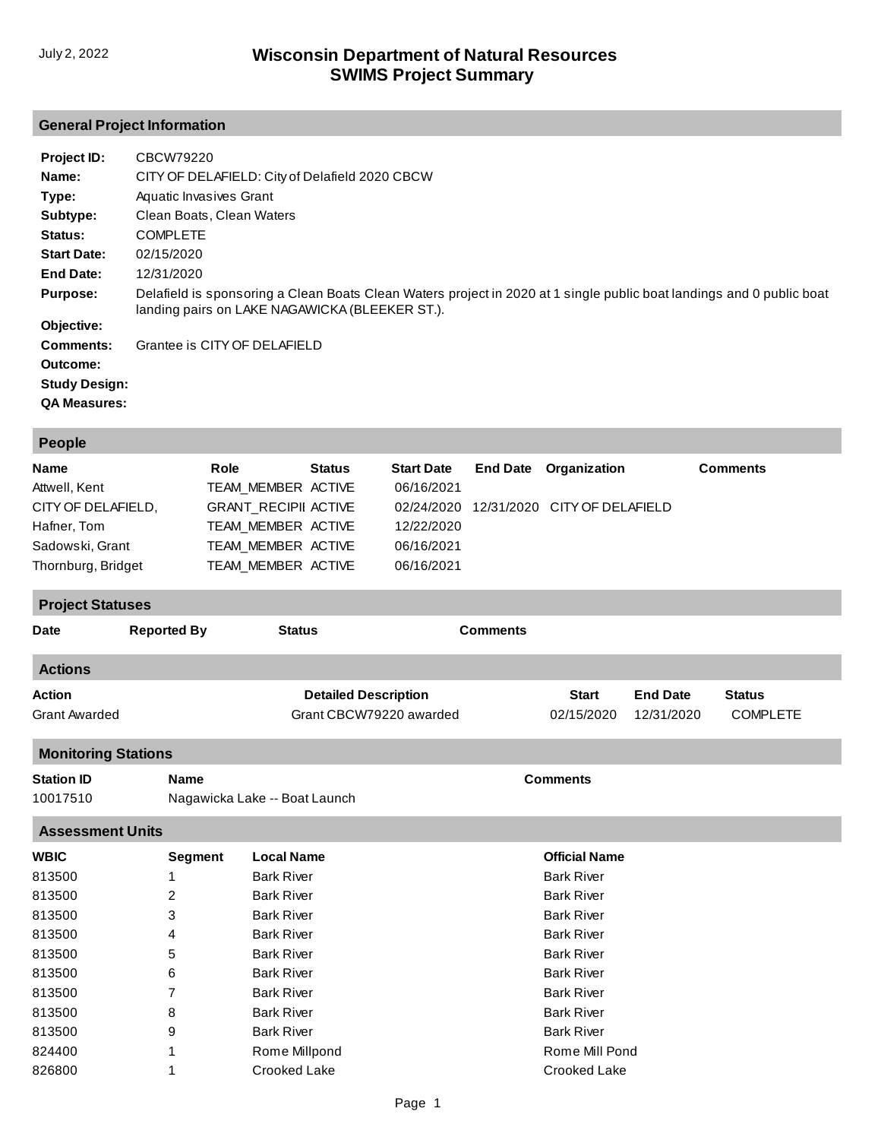## **General Project Information**

| Project ID:          | CBCW79220                                                                                                                                                               |
|----------------------|-------------------------------------------------------------------------------------------------------------------------------------------------------------------------|
| Name:                | CITY OF DELAFIELD: City of Delafield 2020 CBCW                                                                                                                          |
| Type:                | Aquatic Invasives Grant                                                                                                                                                 |
| Subtype:             | Clean Boats, Clean Waters                                                                                                                                               |
| Status:              | <b>COMPLETE</b>                                                                                                                                                         |
| <b>Start Date:</b>   | 02/15/2020                                                                                                                                                              |
| End Date:            | 12/31/2020                                                                                                                                                              |
| <b>Purpose:</b>      | Delafield is sponsoring a Clean Boats Clean Waters project in 2020 at 1 single public boat landings and 0 public boat<br>landing pairs on LAKE NAGAWICKA (BLEEKER ST.). |
| Objective:           |                                                                                                                                                                         |
| Comments:            | Grantee is CITY OF DELAFIELD                                                                                                                                            |
| Outcome:             |                                                                                                                                                                         |
| <b>Study Design:</b> |                                                                                                                                                                         |
| <b>QA Measures:</b>  |                                                                                                                                                                         |

| <b>People</b>                               |                    |                               |                             |                                 |                 |                              |                 |                 |  |
|---------------------------------------------|--------------------|-------------------------------|-----------------------------|---------------------------------|-----------------|------------------------------|-----------------|-----------------|--|
| <b>Role</b><br><b>Name</b><br>Attwell, Kent |                    | TEAM_MEMBER ACTIVE            | <b>Status</b>               | <b>Start Date</b><br>06/16/2021 | <b>End Date</b> | Organization                 |                 | <b>Comments</b> |  |
| CITY OF DELAFIELD,                          |                    | <b>GRANT_RECIPII ACTIVE</b>   |                             | 02/24/2020                      |                 | 12/31/2020 CITY OF DELAFIELD |                 |                 |  |
| Hafner, Tom                                 | TEAM_MEMBER ACTIVE |                               | 12/22/2020                  |                                 |                 |                              |                 |                 |  |
| Sadowski, Grant                             |                    | TEAM_MEMBER ACTIVE            |                             | 06/16/2021                      |                 |                              |                 |                 |  |
| Thornburg, Bridget                          |                    | TEAM_MEMBER ACTIVE            |                             | 06/16/2021                      |                 |                              |                 |                 |  |
| <b>Project Statuses</b>                     |                    |                               |                             |                                 |                 |                              |                 |                 |  |
| <b>Date</b>                                 | <b>Reported By</b> | <b>Status</b>                 |                             |                                 | <b>Comments</b> |                              |                 |                 |  |
| <b>Actions</b>                              |                    |                               |                             |                                 |                 |                              |                 |                 |  |
| <b>Action</b>                               |                    |                               | <b>Detailed Description</b> |                                 |                 | <b>Start</b>                 | <b>End Date</b> | <b>Status</b>   |  |
| <b>Grant Awarded</b>                        |                    |                               |                             | Grant CBCW79220 awarded         |                 | 02/15/2020                   | 12/31/2020      | <b>COMPLETE</b> |  |
| <b>Monitoring Stations</b>                  |                    |                               |                             |                                 |                 |                              |                 |                 |  |
| <b>Station ID</b>                           | <b>Name</b>        |                               |                             |                                 |                 | <b>Comments</b>              |                 |                 |  |
| 10017510                                    |                    | Nagawicka Lake -- Boat Launch |                             |                                 |                 |                              |                 |                 |  |
| <b>Assessment Units</b>                     |                    |                               |                             |                                 |                 |                              |                 |                 |  |
| <b>WBIC</b>                                 | <b>Segment</b>     | <b>Local Name</b>             |                             |                                 |                 | <b>Official Name</b>         |                 |                 |  |
| 813500                                      | 1                  | <b>Bark River</b>             |                             |                                 |                 | <b>Bark River</b>            |                 |                 |  |
| 813500                                      | 2                  | <b>Bark River</b>             |                             |                                 |                 | <b>Bark River</b>            |                 |                 |  |
| 813500                                      | 3                  | <b>Bark River</b>             |                             |                                 |                 | <b>Bark River</b>            |                 |                 |  |
| 813500                                      | 4                  | <b>Bark River</b>             |                             |                                 |                 | <b>Bark River</b>            |                 |                 |  |
| 813500                                      | 5                  | <b>Bark River</b>             |                             |                                 |                 | <b>Bark River</b>            |                 |                 |  |
| 813500                                      | 6                  | <b>Bark River</b>             |                             |                                 |                 | <b>Bark River</b>            |                 |                 |  |
| 813500                                      | 7                  | <b>Bark River</b>             |                             |                                 |                 | <b>Bark River</b>            |                 |                 |  |
| 813500                                      | 8                  | <b>Bark River</b>             |                             |                                 |                 | <b>Bark River</b>            |                 |                 |  |
| 813500                                      | 9                  | <b>Bark River</b>             |                             |                                 |                 | <b>Bark River</b>            |                 |                 |  |
| 824400                                      | 1                  | Rome Millpond                 |                             |                                 |                 | Rome Mill Pond               |                 |                 |  |
| 826800                                      | 1                  | Crooked Lake                  |                             |                                 |                 | Crooked Lake                 |                 |                 |  |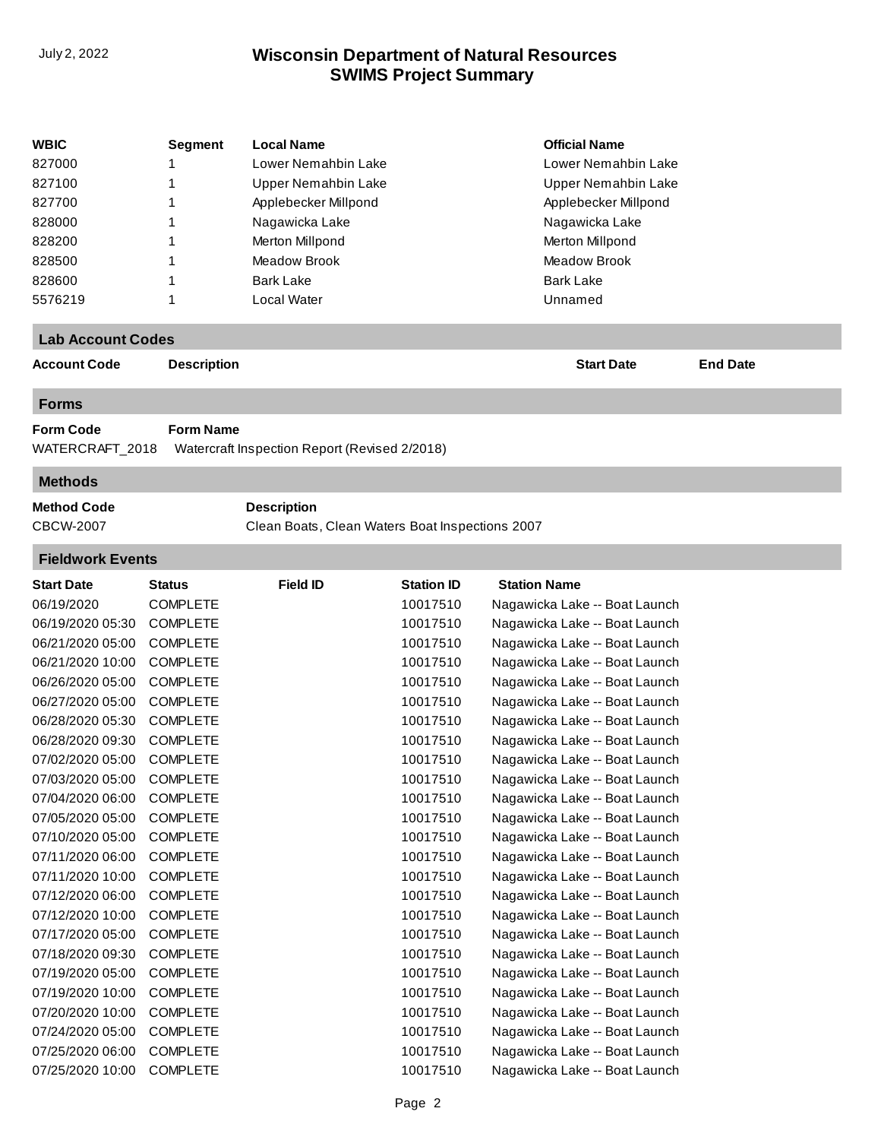## **SWIMS Project Summary** July 2, 2022 **Wisconsin Department of Natural Resources**

| <b>WBIC</b>              | <b>Segment</b>     | <b>Local Name</b>                               |                   | <b>Official Name</b>          |                 |
|--------------------------|--------------------|-------------------------------------------------|-------------------|-------------------------------|-----------------|
| 827000                   | 1                  | Lower Nemahbin Lake                             |                   | Lower Nemahbin Lake           |                 |
| 827100                   | 1                  | <b>Upper Nemahbin Lake</b>                      |                   | Upper Nemahbin Lake           |                 |
| 827700                   | 1                  | Applebecker Millpond                            |                   | Applebecker Millpond          |                 |
| 828000                   | 1                  | Nagawicka Lake                                  |                   | Nagawicka Lake                |                 |
| 828200                   | 1                  | Merton Millpond                                 |                   | Merton Millpond               |                 |
| 828500                   | 1                  | <b>Meadow Brook</b>                             |                   | <b>Meadow Brook</b>           |                 |
| 828600                   | 1                  | <b>Bark Lake</b>                                |                   | <b>Bark Lake</b>              |                 |
| 5576219                  | 1                  | Local Water                                     |                   | Unnamed                       |                 |
|                          |                    |                                                 |                   |                               |                 |
| <b>Lab Account Codes</b> |                    |                                                 |                   |                               |                 |
| <b>Account Code</b>      | <b>Description</b> |                                                 |                   | <b>Start Date</b>             | <b>End Date</b> |
| <b>Forms</b>             |                    |                                                 |                   |                               |                 |
| <b>Form Code</b>         | <b>Form Name</b>   |                                                 |                   |                               |                 |
| WATERCRAFT_2018          |                    | Watercraft Inspection Report (Revised 2/2018)   |                   |                               |                 |
| <b>Methods</b>           |                    |                                                 |                   |                               |                 |
| <b>Method Code</b>       |                    | <b>Description</b>                              |                   |                               |                 |
| <b>CBCW-2007</b>         |                    | Clean Boats, Clean Waters Boat Inspections 2007 |                   |                               |                 |
| <b>Fieldwork Events</b>  |                    |                                                 |                   |                               |                 |
| <b>Start Date</b>        | Status             | <b>Field ID</b>                                 | <b>Station ID</b> | <b>Station Name</b>           |                 |
| 06/19/2020               | <b>COMPLETE</b>    |                                                 | 10017510          | Nagawicka Lake -- Boat Launch |                 |
| 06/19/2020 05:30         | <b>COMPLETE</b>    |                                                 | 10017510          | Nagawicka Lake -- Boat Launch |                 |
| 06/21/2020 05:00         | <b>COMPLETE</b>    |                                                 | 10017510          | Nagawicka Lake -- Boat Launch |                 |
| 06/21/2020 10:00         | <b>COMPLETE</b>    |                                                 | 10017510          | Nagawicka Lake -- Boat Launch |                 |
| 06/26/2020 05:00         | <b>COMPLETE</b>    |                                                 | 10017510          | Nagawicka Lake -- Boat Launch |                 |
| 06/27/2020 05:00         | <b>COMPLETE</b>    |                                                 | 10017510          | Nagawicka Lake -- Boat Launch |                 |
| 06/28/2020 05:30         | <b>COMPLETE</b>    |                                                 | 10017510          | Nagawicka Lake -- Boat Launch |                 |
| 06/28/2020 09:30         | <b>COMPLETE</b>    |                                                 | 10017510          | Nagawicka Lake -- Boat Launch |                 |
| 07/02/2020 05:00         | <b>COMPLETE</b>    |                                                 | 10017510          | Nagawicka Lake -- Boat Launch |                 |
| 07/03/2020 05:00         | <b>COMPLETE</b>    |                                                 | 10017510          | Nagawicka Lake -- Boat Launch |                 |
| 07/04/2020 06:00         | <b>COMPLETE</b>    |                                                 | 10017510          | Nagawicka Lake -- Boat Launch |                 |
| 07/05/2020 05:00         | <b>COMPLETE</b>    |                                                 | 10017510          | Nagawicka Lake -- Boat Launch |                 |
| 07/10/2020 05:00         | <b>COMPLETE</b>    |                                                 | 10017510          | Nagawicka Lake -- Boat Launch |                 |
| 07/11/2020 06:00         | <b>COMPLETE</b>    |                                                 | 10017510          | Nagawicka Lake -- Boat Launch |                 |
| 07/11/2020 10:00         | <b>COMPLETE</b>    |                                                 | 10017510          | Nagawicka Lake -- Boat Launch |                 |
| 07/12/2020 06:00         | <b>COMPLETE</b>    |                                                 | 10017510          | Nagawicka Lake -- Boat Launch |                 |
| 07/12/2020 10:00         | <b>COMPLETE</b>    |                                                 | 10017510          | Nagawicka Lake -- Boat Launch |                 |
| 07/17/2020 05:00         | COMPLETE           |                                                 | 10017510          | Nagawicka Lake -- Boat Launch |                 |
|                          | <b>COMPLETE</b>    |                                                 |                   | Nagawicka Lake -- Boat Launch |                 |
| 07/18/2020 09:30         |                    |                                                 | 10017510          |                               |                 |
| 07/19/2020 05:00         | COMPLETE           |                                                 | 10017510          | Nagawicka Lake -- Boat Launch |                 |
| 07/19/2020 10:00         | <b>COMPLETE</b>    |                                                 | 10017510          | Nagawicka Lake -- Boat Launch |                 |
| 07/20/2020 10:00         | <b>COMPLETE</b>    |                                                 | 10017510          | Nagawicka Lake -- Boat Launch |                 |
| 07/24/2020 05:00         | <b>COMPLETE</b>    |                                                 | 10017510          | Nagawicka Lake -- Boat Launch |                 |
| 07/25/2020 06:00         | <b>COMPLETE</b>    |                                                 | 10017510          | Nagawicka Lake -- Boat Launch |                 |
| 07/25/2020 10:00         | <b>COMPLETE</b>    |                                                 | 10017510          | Nagawicka Lake -- Boat Launch |                 |